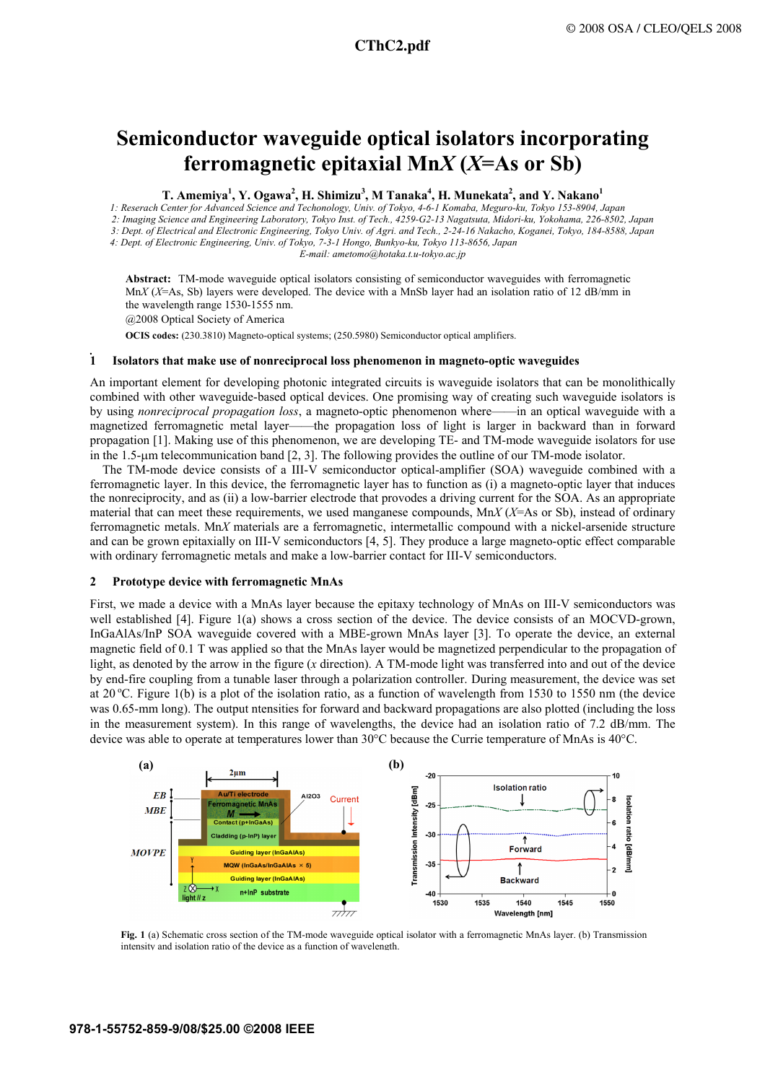# **Semiconductor waveguide optical isolators incorporating ferromagnetic epitaxial Mn***X* **(***X***=As or Sb)**

 $\bf{T.~Amemiya}^1, Y.~Ogawa^2, H.~Shimizu^3, M.~Tanaka^4, H.~Munekata^2, and Y.~Nakano^1$ 

 *1: Reserach Center for Advanced Science and Techonology, Univ. of Tokyo, 4-6-1 Komaba, Meguro-ku, Tokyo 153-8904, Japan 2: Imaging Science and Engineering Laboratory, Tokyo Inst. of Tech., 4259-G2-13 Nagatsuta, Midori-ku, Yokohama, 226-8502, Japan*

*3: Dept. of Electrical and Electronic Engineering, Tokyo Univ. of Agri. and Tech., 2-24-16 Nakacho, Koganei, Tokyo, 184-8588, Japan* 

 *4: Dept. of Electronic Engineering, Univ. of Tokyo, 7-3-1 Hongo, Bunkyo-ku, Tokyo 113-8656, Japan* 

*E-mail: ametomo@hotaka.t.u-tokyo.ac.jp* 

**Abstract:** TM-mode waveguide optical isolators consisting of semiconductor waveguides with ferromagnetic Mn*X* (*X*=As, Sb) layers were developed. The device with a MnSb layer had an isolation ratio of 12 dB/mm in the wavelength range 1530-1555 nm.

@2008 Optical Society of America

**OCIS codes:** (230.3810) Magneto-optical systems; (250.5980) Semiconductor optical amplifiers.

## **1 Isolators that make use of nonreciprocal loss phenomenon in magneto-optic waveguides**

An important element for developing photonic integrated circuits is waveguide isolators that can be monolithically combined with other waveguide-based optical devices. One promising way of creating such waveguide isolators is by using *nonreciprocal propagation loss*, a magneto-optic phenomenon where——in an optical waveguide with a magnetized ferromagnetic metal layer——the propagation loss of light is larger in backward than in forward propagation [1]. Making use of this phenomenon, we are developing TE- and TM-mode waveguide isolators for use in the 1.5-µm telecommunication band [2, 3]. The following provides the outline of our TM-mode isolator.

The TM-mode device consists of a III-V semiconductor optical-amplifier (SOA) waveguide combined with a ferromagnetic layer. In this device, the ferromagnetic layer has to function as (i) a magneto-optic layer that induces the nonreciprocity, and as (ii) a low-barrier electrode that provodes a driving current for the SOA. As an appropriate material that can meet these requirements, we used manganese compounds, Mn*X* (*X*=As or Sb), instead of ordinary ferromagnetic metals. Mn*X* materials are a ferromagnetic, intermetallic compound with a nickel-arsenide structure and can be grown epitaxially on III-V semiconductors [4, 5]. They produce a large magneto-optic effect comparable with ordinary ferromagnetic metals and make a low-barrier contact for III-V semiconductors.

### **2 Prototype device with ferromagnetic MnAs**

First, we made a device with a MnAs layer because the epitaxy technology of MnAs on III-V semiconductors was well established [4]. Figure 1(a) shows a cross section of the device. The device consists of an MOCVD-grown, InGaAlAs/InP SOA waveguide covered with a MBE-grown MnAs layer [3]. To operate the device, an external magnetic field of 0.1 T was applied so that the MnAs layer would be magnetized perpendicular to the propagation of light, as denoted by the arrow in the figure (*x* direction). A TM-mode light was transferred into and out of the device by end-fire coupling from a tunable laser through a polarization controller. During measurement, the device was set at 20 °C. Figure 1(b) is a plot of the isolation ratio, as a function of wavelength from 1530 to 1550 nm (the device was 0.65-mm long). The output ntensities for forward and backward propagations are also plotted (including the loss in the measurement system). In this range of wavelengths, the device had an isolation ratio of 7.2 dB/mm. The device was able to operate at temperatures lower than 30°C because the Currie temperature of MnAs is 40°C.



**Fig. 1** (a) Schematic cross section of the TM-mode waveguide optical isolator with a ferromagnetic MnAs layer. (b) Transmission intensity and isolation ratio of the device as a function of wavelength.